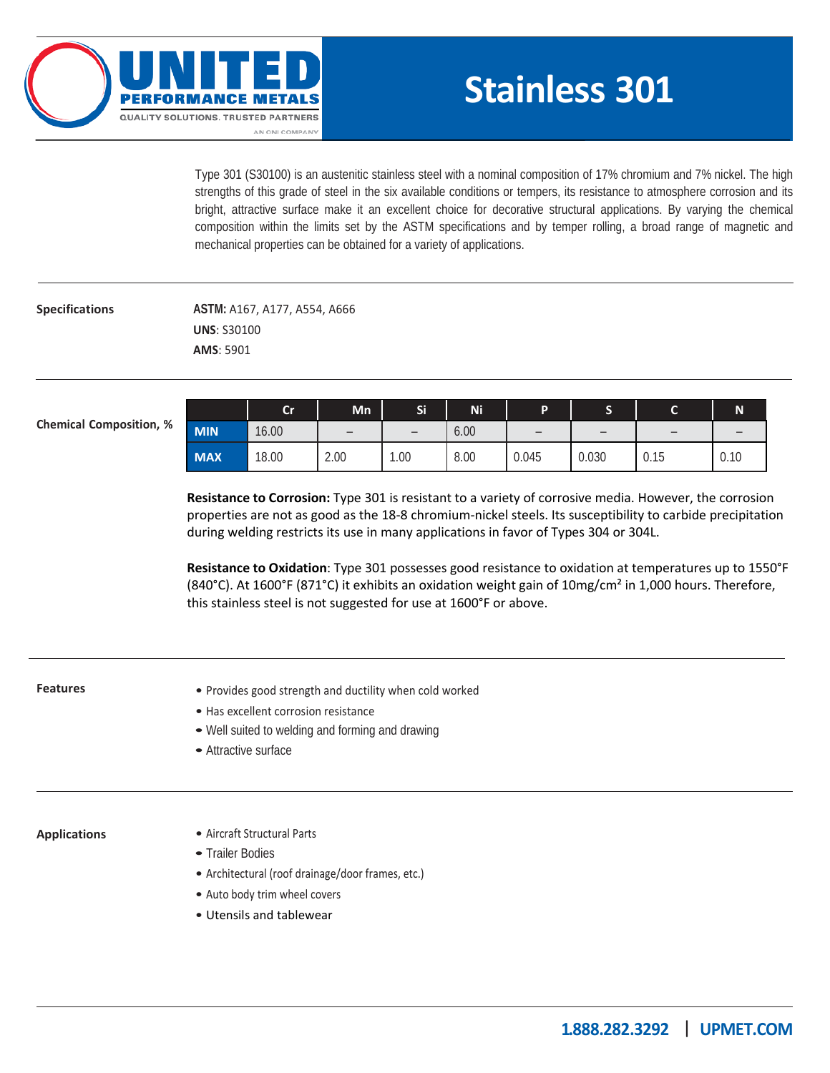

# **Stainless 301**

Type 301 (S30100) is an austenitic stainless steel with a nominal composition of 17% chromium and 7% nickel. The high strengths of this grade of steel in the six available conditions or tempers, its resistance to atmosphere corrosion and its bright, attractive surface make it an excellent choice for decorative structural applications. By varying the chemical composition within the limits set by the ASTM specifications and by temper rolling, a broad range of magnetic and mechanical properties can be obtained for a variety of applications.

### **Specifications**

**ASTM:** A167, A177, A554, A666 **UNS**: S30100 **AMS**: 5901

**Chemical Composition, %**

|            | Cr    | Mn                       | Si   | Ni   | D     | ш     | ∽    | <b>N</b> |
|------------|-------|--------------------------|------|------|-------|-------|------|----------|
| <b>MIN</b> | 16.00 | $\overline{\phantom{m}}$ |      | 6.00 |       |       |      |          |
| <b>MAX</b> | 18.00 | 2.00                     | 00.1 | 8.00 | 0.045 | 0.030 | 0.15 | 0.10     |

**Resistance to Corrosion:** Type 301 is resistant to a variety of corrosive media. However, the corrosion properties are not as good as the 18-8 chromium-nickel steels. Its susceptibility to carbide precipitation during welding restricts its use in many applications in favor of Types 304 or 304L.

**Resistance to Oxidation**: Type 301 possesses good resistance to oxidation at temperatures up to 1550°F (840°C). At 1600°F (871°C) it exhibits an oxidation weight gain of 10mg/cm<sup>2</sup> in 1,000 hours. Therefore, this stainless steel is not suggested for use at 1600°F or above.

### **Features Applications** • Provides good strength and ductility when cold worked • Has excellent corrosion resistance • Well suited to welding and forming and drawing • Attractive surface • Aircraft Structural Parts • Trailer Bodies • Architectural (roof drainage/door frames, etc.) • Auto body trim wheel covers • Utensils and tablewear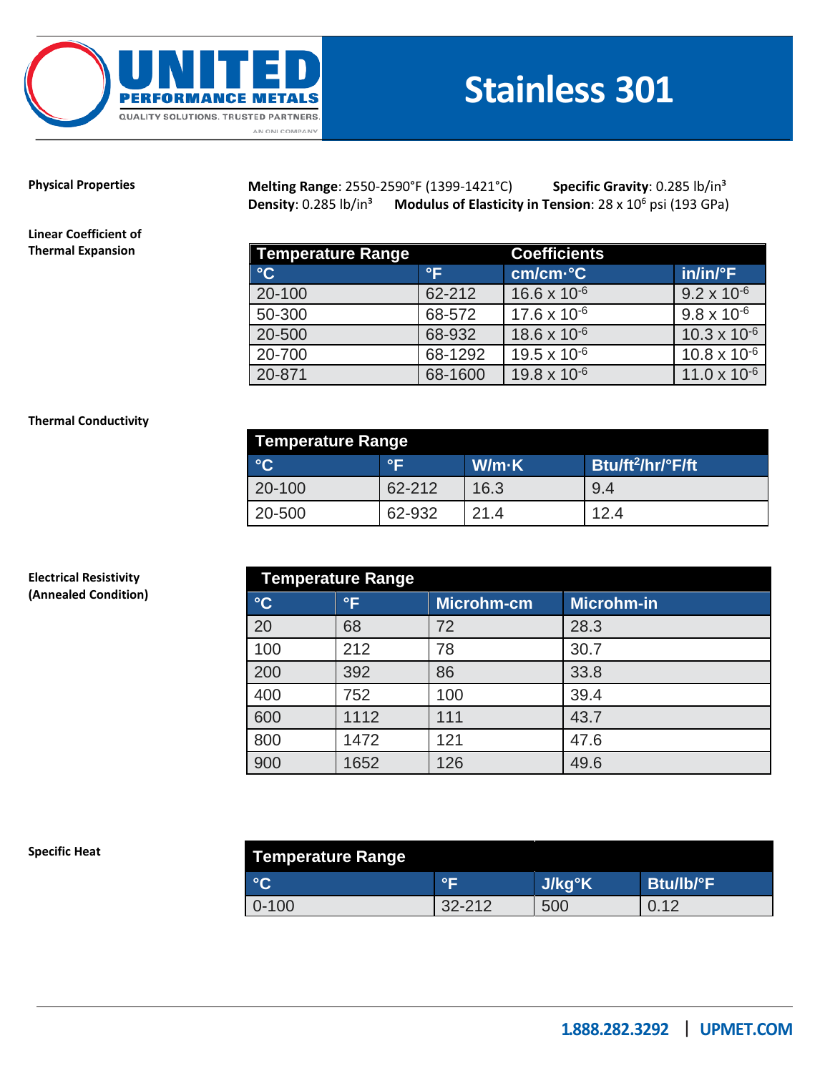

## **Stainless 301**

**Physical Properties** 

**Melting Range**: 2550-2590°F (1399-1421°C) **Specific Gravity**: 0.285 lb/in³ **Density**: 0.285 lb/in<sup>3</sup> Modulus of Elasticity in Tension: 28 x 10<sup>6</sup> psi (193 GPa)

**Linear Coefficient of Thermal Expansion**

| <b>Temperature Range</b> |         | <b>Coefficients</b>   |                       |  |  |
|--------------------------|---------|-----------------------|-----------------------|--|--|
| $\rm ^{\circ}C$          | °F      | cm/cm-°C              | $in/in/{}^{\circ}F$   |  |  |
| 20-100                   | 62-212  | $16.6 \times 10^{-6}$ | $9.2 \times 10^{-6}$  |  |  |
| 50-300                   | 68-572  | $17.6 \times 10^{-6}$ | $9.8 \times 10^{-6}$  |  |  |
| 20-500                   | 68-932  | $18.6 \times 10^{-6}$ | $10.3 \times 10^{-6}$ |  |  |
| 20-700                   | 68-1292 | $19.5 \times 10^{-6}$ | $10.8 \times 10^{-6}$ |  |  |
| 20-871                   | 68-1600 | $19.8 \times 10^{-6}$ | $11.0 \times 10^{-6}$ |  |  |

### **Thermal Conductivity**

**Electrical Resistivity (Annealed Condition)**

| Temperature Range |           |       |                               |  |  |
|-------------------|-----------|-------|-------------------------------|--|--|
| $\rm ^{\circ}C$   | $\circ$ F | W/m·K | Btu/ft <sup>2</sup> /hr/°F/ft |  |  |
| 20-100            | 62-212    | 16.3  | 9.4                           |  |  |
| 20-500            | 62-932    | 21.4  | 12.4                          |  |  |

| <b>Temperature Range</b> |              |            |                   |  |  |  |
|--------------------------|--------------|------------|-------------------|--|--|--|
| $\rm ^{\circ}C$          | $\mathsf{P}$ | Microhm-cm | <b>Microhm-in</b> |  |  |  |
| 20                       | 68           | 72         | 28.3              |  |  |  |
| 100                      | 212          | 78         | 30.7              |  |  |  |
| 200                      | 392          | 86         | 33.8              |  |  |  |
| 400                      | 752          | 100        | 39.4              |  |  |  |
| 600                      | 1112         | 111        | 43.7              |  |  |  |
| 800                      | 1472         | 121        | 47.6              |  |  |  |
| 900                      | 1652         | 126        | 49.6              |  |  |  |

#### **Specific Heat**

| Temperature Range |                   |        |           |  |  |
|-------------------|-------------------|--------|-----------|--|--|
| $\sim$            | $^{\circ}$ $\Box$ | J/kg°K | Btu/lb/°F |  |  |
| $0 - 100$         | $32 - 212$        | 500    | $\sim$    |  |  |